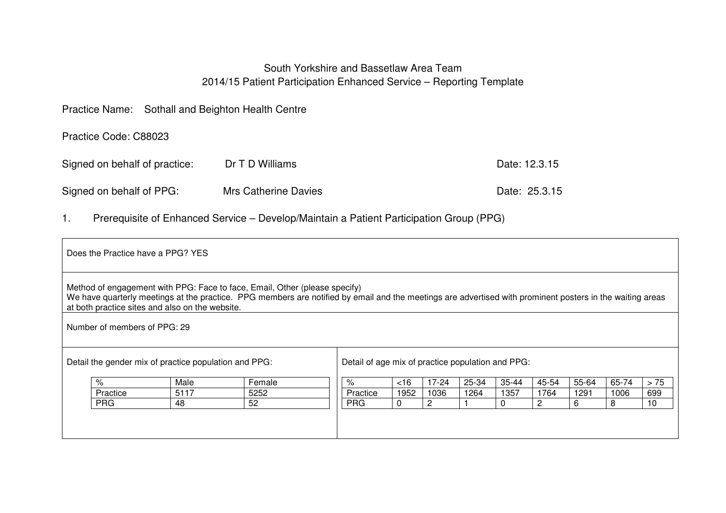# South Yorkshire and Bassetlaw Area Team 2014/15 Patient Participation Enhanced Service – Reporting Template

| Practice Name: Sothall and Beighton Health Centre |                      |               |
|---------------------------------------------------|----------------------|---------------|
| Practice Code: C88023                             |                      |               |
| Signed on behalf of practice:                     | Dr T D Williams      | Date: 12.3.15 |
| Signed on behalf of PPG:                          | Mrs Catherine Davies | Date: 25.3.15 |

1. Prerequisite of Enhanced Service – Develop/Maintain a Patient Participation Group (PPG)

| Does the Practice have a PPG? YES                                                                                                                                                                                                                                                          |                                                   |        |            |          |       |       |          |       |       |       |      |
|--------------------------------------------------------------------------------------------------------------------------------------------------------------------------------------------------------------------------------------------------------------------------------------------|---------------------------------------------------|--------|------------|----------|-------|-------|----------|-------|-------|-------|------|
| Method of engagement with PPG: Face to face, Email, Other (please specify)<br>We have quarterly meetings at the practice. PPG members are notified by email and the meetings are advertised with prominent posters in the waiting areas<br>at both practice sites and also on the website. |                                                   |        |            |          |       |       |          |       |       |       |      |
| Number of members of PPG: 29                                                                                                                                                                                                                                                               |                                                   |        |            |          |       |       |          |       |       |       |      |
| Detail the gender mix of practice population and PPG:                                                                                                                                                                                                                                      | Detail of age mix of practice population and PPG: |        |            |          |       |       |          |       |       |       |      |
| %                                                                                                                                                                                                                                                                                          | Male                                              | Female | $\%$       | <16      | 17-24 | 25-34 | 35-44    | 45-54 | 55-64 | 65-74 | > 75 |
| Practice                                                                                                                                                                                                                                                                                   | 5117                                              | 5252   | Practice   | 1952     | 1036  | 1264  | 1357     | 1764  | 1291  | 1006  | 699  |
| <b>PRG</b>                                                                                                                                                                                                                                                                                 | 48                                                | 52     | <b>PRG</b> | $\Omega$ | 2     |       | $\Omega$ | 2     | 6     | 8     | 10   |
|                                                                                                                                                                                                                                                                                            |                                                   |        |            |          |       |       |          |       |       |       |      |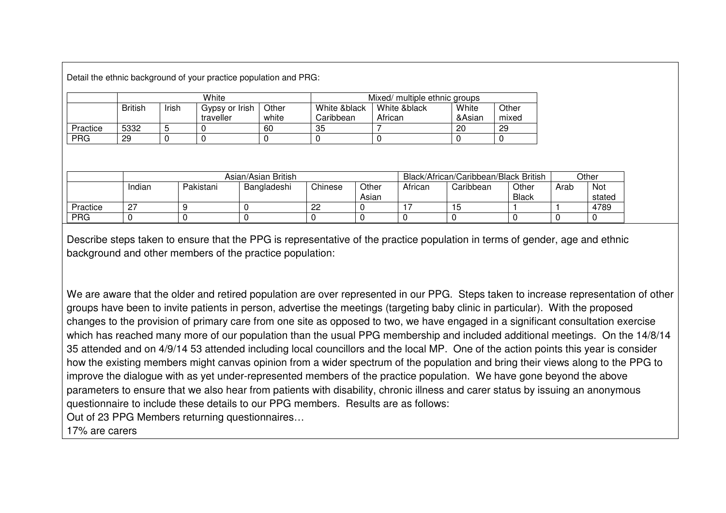Detail the ethnic background of your practice population and PRG:

|            | White          |       |                |       | Mixed/ multiple ethnic groups |              |        |       |  |  |
|------------|----------------|-------|----------------|-------|-------------------------------|--------------|--------|-------|--|--|
|            | <b>British</b> | Irish | Gypsy or Irish | Other | White &black                  | White &black | White  | Other |  |  |
|            |                |       | traveller      | white | Caribbean                     | African      | &Asian | mixed |  |  |
| Practice   | 5332           |       |                | 60    | 35                            |              | 20     | 29    |  |  |
| <b>PRG</b> | 29             |       |                |       |                               |              |        |       |  |  |

|            | Asian/Asian British |           |             |         |                |                                                       | Black/African/Caribbean/Black British |  |  | Other         |  |
|------------|---------------------|-----------|-------------|---------|----------------|-------------------------------------------------------|---------------------------------------|--|--|---------------|--|
|            | Indian              | Pakistani | Bangladeshi | Chinese | Other<br>Asian | African<br>Other<br>Caribbean<br>Arab<br><b>Black</b> |                                       |  |  | Not<br>stated |  |
| Practice   | ∩"<br><u>.</u>      |           |             | 22      |                |                                                       | ιIJ                                   |  |  | 4789          |  |
| <b>PRG</b> |                     |           |             |         |                |                                                       |                                       |  |  |               |  |

Describe steps taken to ensure that the PPG is representative of the practice population in terms of gender, age and ethnic background and other members of the practice population:

We are aware that the older and retired population are over represented in our PPG. Steps taken to increase representation of other groups have been to invite patients in person, advertise the meetings (targeting baby clinic in particular). With the proposed changes to the provision of primary care from one site as opposed to two, we have engaged in a significant consultation exercise which has reached many more of our population than the usual PPG membership and included additional meetings. On the 14/8/14 35 attended and on 4/9/14 53 attended including local councillors and the local MP. One of the action points this year is consider how the existing members might canvas opinion from a wider spectrum of the population and bring their views along to the PPG to improve the dialogue with as yet under-represented members of the practice population. We have gone beyond the above parameters to ensure that we also hear from patients with disability, chronic illness and carer status by issuing an anonymous questionnaire to include these details to our PPG members. Results are as follows: Out of 23 PPG Members returning questionnaires…

17% are carers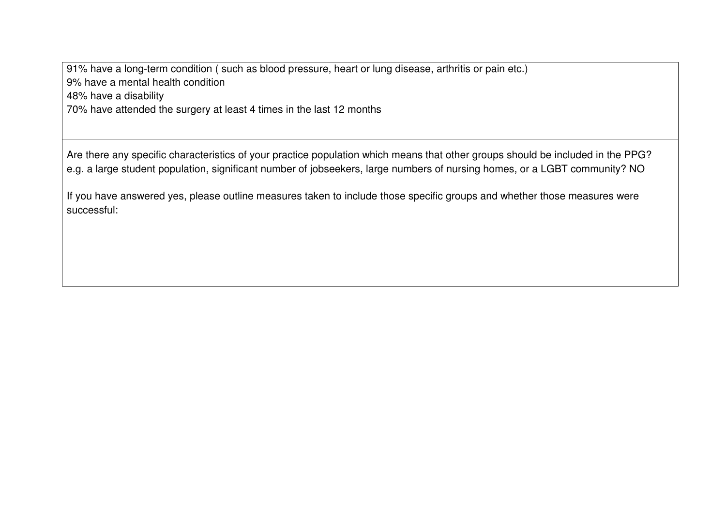91% have a long-term condition ( such as blood pressure, heart or lung disease, arthritis or pain etc.) 9% have a mental health condition 48% have a disability

70% have attended the surgery at least 4 times in the last 12 months

Are there any specific characteristics of your practice population which means that other groups should be included in the PPG? e.g. a large student population, significant number of jobseekers, large numbers of nursing homes, or a LGBT community? NO

If you have answered yes, please outline measures taken to include those specific groups and whether those measures were successful: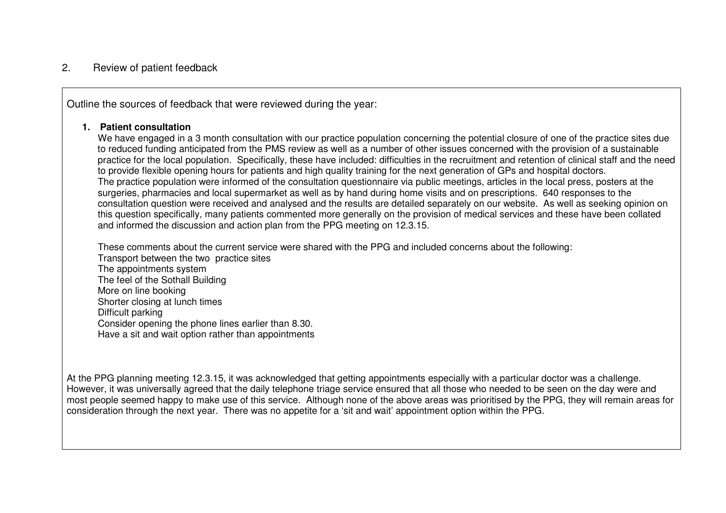# 2. Review of patient feedback

Outline the sources of feedback that were reviewed during the year:

#### **1. Patient consultation**

 We have engaged in a 3 month consultation with our practice population concerning the potential closure of one of the practice sites due to reduced funding anticipated from the PMS review as well as a number of other issues concerned with the provision of a sustainable practice for the local population. Specifically, these have included: difficulties in the recruitment and retention of clinical staff and the need to provide flexible opening hours for patients and high quality training for the next generation of GPs and hospital doctors. The practice population were informed of the consultation questionnaire via public meetings, articles in the local press, posters at the surgeries, pharmacies and local supermarket as well as by hand during home visits and on prescriptions. 640 responses to the consultation question were received and analysed and the results are detailed separately on our website. As well as seeking opinion on this question specifically, many patients commented more generally on the provision of medical services and these have been collated and informed the discussion and action plan from the PPG meeting on 12.3.15.

These comments about the current service were shared with the PPG and included concerns about the following: Transport between the two practice sites The appointments system The feel of the Sothall Building More on line booking Shorter closing at lunch times Difficult parking Consider opening the phone lines earlier than 8.30.Have a sit and wait option rather than appointments

At the PPG planning meeting 12.3.15, it was acknowledged that getting appointments especially with a particular doctor was a challenge. However, it was universally agreed that the daily telephone triage service ensured that all those who needed to be seen on the day were and most people seemed happy to make use of this service. Although none of the above areas was prioritised by the PPG, they will remain areas for consideration through the next year. There was no appetite for a 'sit and wait' appointment option within the PPG.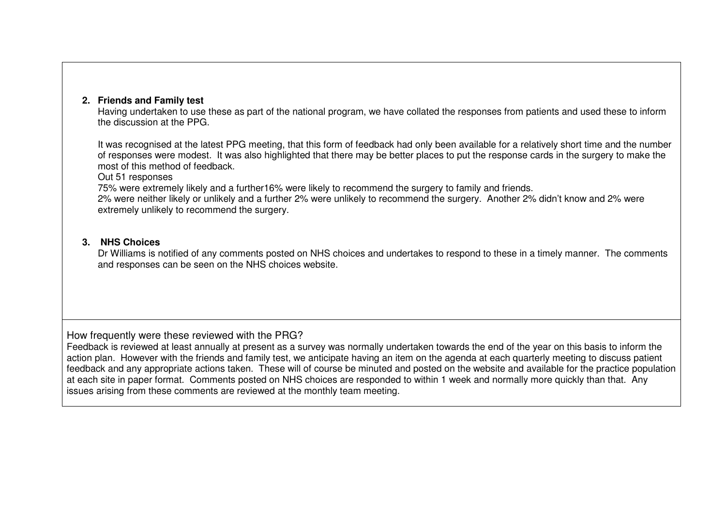# **2. Friends and Family test**

 Having undertaken to use these as part of the national program, we have collated the responses from patients and used these to inform the discussion at the PPG.

It was recognised at the latest PPG meeting, that this form of feedback had only been available for a relatively short time and the number of responses were modest. It was also highlighted that there may be better places to put the response cards in the surgery to make the most of this method of feedback.

Out 51 responses

75% were extremely likely and a further16% were likely to recommend the surgery to family and friends.

 2% were neither likely or unlikely and a further 2% were unlikely to recommend the surgery. Another 2% didn't know and 2% were extremely unlikely to recommend the surgery.

## **3. NHS Choices**

 Dr Williams is notified of any comments posted on NHS choices and undertakes to respond to these in a timely manner. The comments and responses can be seen on the NHS choices website.

How frequently were these reviewed with the PRG?

 Feedback is reviewed at least annually at present as a survey was normally undertaken towards the end of the year on this basis to inform the action plan. However with the friends and family test, we anticipate having an item on the agenda at each quarterly meeting to discuss patient feedback and any appropriate actions taken. These will of course be minuted and posted on the website and available for the practice population at each site in paper format. Comments posted on NHS choices are responded to within 1 week and normally more quickly than that. Any issues arising from these comments are reviewed at the monthly team meeting.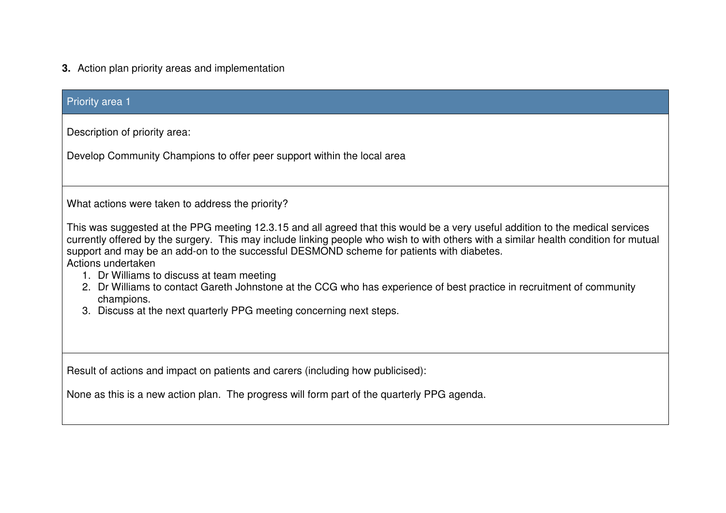# **3.** Action plan priority areas and implementation

| <b>Priority area 1</b>                                                                                                                                                                                                                                                                                                                                                                                                                                                                                                                                                                                                                                                                                   |
|----------------------------------------------------------------------------------------------------------------------------------------------------------------------------------------------------------------------------------------------------------------------------------------------------------------------------------------------------------------------------------------------------------------------------------------------------------------------------------------------------------------------------------------------------------------------------------------------------------------------------------------------------------------------------------------------------------|
| Description of priority area:<br>Develop Community Champions to offer peer support within the local area                                                                                                                                                                                                                                                                                                                                                                                                                                                                                                                                                                                                 |
| What actions were taken to address the priority?<br>This was suggested at the PPG meeting 12.3.15 and all agreed that this would be a very useful addition to the medical services<br>currently offered by the surgery. This may include linking people who wish to with others with a similar health condition for mutual<br>support and may be an add-on to the successful DESMOND scheme for patients with diabetes.<br>Actions undertaken<br>1. Dr Williams to discuss at team meeting<br>2. Dr Williams to contact Gareth Johnstone at the CCG who has experience of best practice in recruitment of community<br>champions.<br>3. Discuss at the next quarterly PPG meeting concerning next steps. |
| Result of actions and impact on patients and carers (including how publicised):<br>None as this is a new action plan. The progress will form part of the quarterly PPG agenda.                                                                                                                                                                                                                                                                                                                                                                                                                                                                                                                           |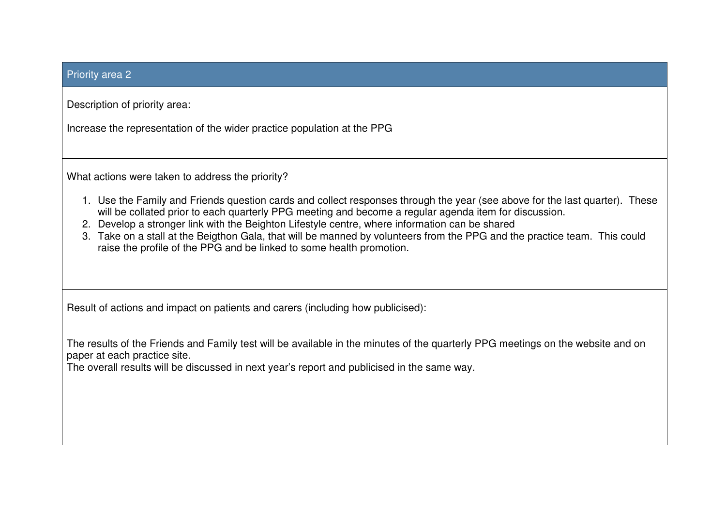# Priority area 2

Description of priority area:

Increase the representation of the wider practice population at the PPG

What actions were taken to address the priority?

- 1. Use the Family and Friends question cards and collect responses through the year (see above for the last quarter). These will be collated prior to each quarterly PPG meeting and become a regular agenda item for discussion.
- 2. Develop a stronger link with the Beighton Lifestyle centre, where information can be shared
- 3. Take on a stall at the Beigthon Gala, that will be manned by volunteers from the PPG and the practice team. This could raise the profile of the PPG and be linked to some health promotion.

Result of actions and impact on patients and carers (including how publicised):

The results of the Friends and Family test will be available in the minutes of the quarterly PPG meetings on the website and on paper at each practice site.

The overall results will be discussed in next year's report and publicised in the same way.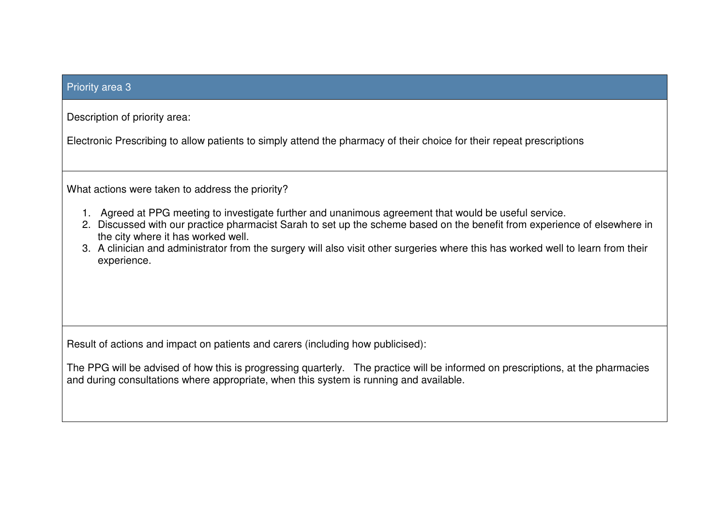## Priority area 3

Description of priority area:

Electronic Prescribing to allow patients to simply attend the pharmacy of their choice for their repeat prescriptions

What actions were taken to address the priority?

- 1. Agreed at PPG meeting to investigate further and unanimous agreement that would be useful service.
- 2. Discussed with our practice pharmacist Sarah to set up the scheme based on the benefit from experience of elsewhere in the city where it has worked well.
- 3. A clinician and administrator from the surgery will also visit other surgeries where this has worked well to learn from their experience.

Result of actions and impact on patients and carers (including how publicised):

The PPG will be advised of how this is progressing quarterly. The practice will be informed on prescriptions, at the pharmacies and during consultations where appropriate, when this system is running and available.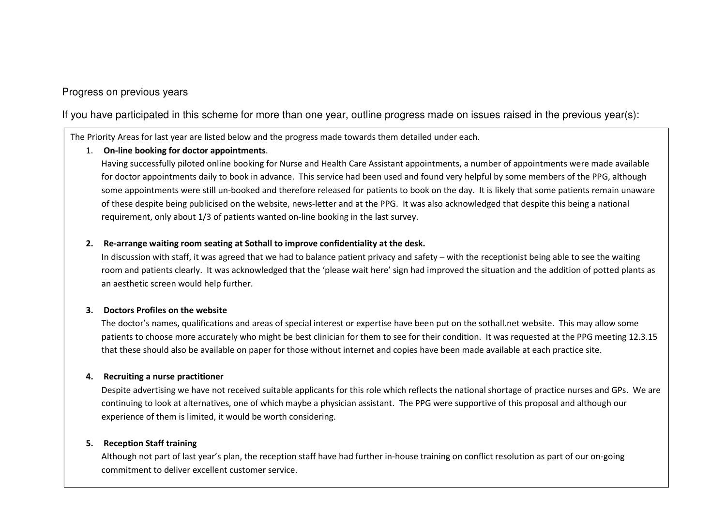# Progress on previous years

If you have participated in this scheme for more than one year, outline progress made on issues raised in the previous year(s):

The Priority Areas for last year are listed below and the progress made towards them detailed under each.

#### 1. On-line booking for doctor appointments.

Having successfully piloted online booking for Nurse and Health Care Assistant appointments, a number of appointments were made available for doctor appointments daily to book in advance. This service had been used and found very helpful by some members of the PPG, although some appointments were still un-booked and therefore released for patients to book on the day. It is likely that some patients remain unaware of these despite being publicised on the website, news-letter and at the PPG. It was also acknowledged that despite this being a national requirement, only about 1/3 of patients wanted on-line booking in the last survey.

#### 2. Re-arrange waiting room seating at Sothall to improve confidentiality at the desk.

In discussion with staff, it was agreed that we had to balance patient privacy and safety – with the receptionist being able to see the waiting room and patients clearly. It was acknowledged that the 'please wait here' sign had improved the situation and the addition of potted plants as an aesthetic screen would help further.

#### 3. Doctors Profiles on the website

The doctor's names, qualifications and areas of special interest or expertise have been put on the sothall.net website. This may allow some patients to choose more accurately who might be best clinician for them to see for their condition. It was requested at the PPG meeting 12.3.15 that these should also be available on paper for those without internet and copies have been made available at each practice site.

#### 4. Recruiting a nurse practitioner

Despite advertising we have not received suitable applicants for this role which reflects the national shortage of practice nurses and GPs. We are continuing to look at alternatives, one of which maybe a physician assistant. The PPG were supportive of this proposal and although our experience of them is limited, it would be worth considering.

#### 5. Reception Staff training

Although not part of last year's plan, the reception staff have had further in-house training on conflict resolution as part of our on-going commitment to deliver excellent customer service.